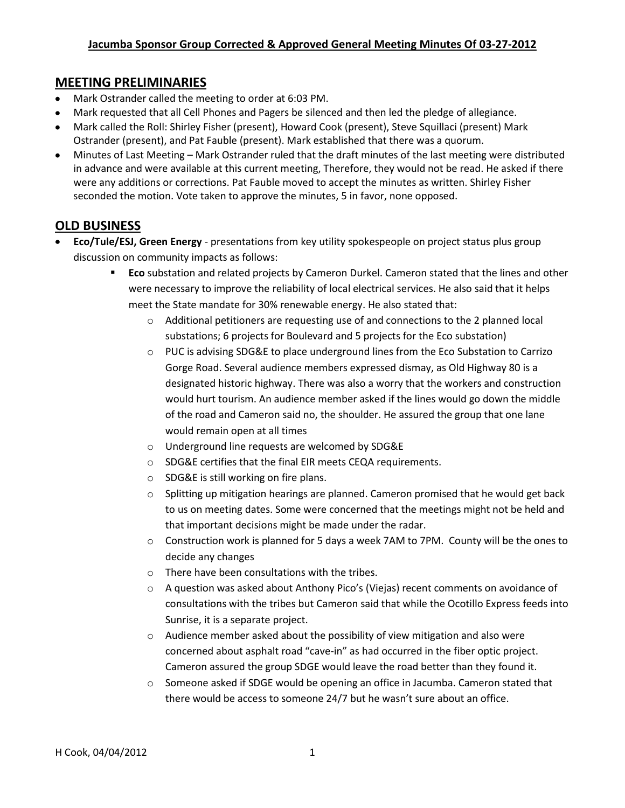### **MEETING PRELIMINARIES**

- Mark Ostrander called the meeting to order at 6:03 PM.
- Mark requested that all Cell Phones and Pagers be silenced and then led the pledge of allegiance.
- Mark called the Roll: Shirley Fisher (present), Howard Cook (present), Steve Squillaci (present) Mark Ostrander (present), and Pat Fauble (present). Mark established that there was a quorum.
- Minutes of Last Meeting Mark Ostrander ruled that the draft minutes of the last meeting were distributed  $\bullet$ in advance and were available at this current meeting, Therefore, they would not be read. He asked if there were any additions or corrections. Pat Fauble moved to accept the minutes as written. Shirley Fisher seconded the motion. Vote taken to approve the minutes, 5 in favor, none opposed.

## **OLD BUSINESS**

- **Eco/Tule/ESJ, Green Energy** presentations from key utility spokespeople on project status plus group discussion on community impacts as follows:
	- **Eco** substation and related projects by Cameron Durkel. Cameron stated that the lines and other were necessary to improve the reliability of local electrical services. He also said that it helps meet the State mandate for 30% renewable energy. He also stated that:
		- $\circ$  Additional petitioners are requesting use of and connections to the 2 planned local substations; 6 projects for Boulevard and 5 projects for the Eco substation)
		- o PUC is advising SDG&E to place underground lines from the Eco Substation to Carrizo Gorge Road. Several audience members expressed dismay, as Old Highway 80 is a designated historic highway. There was also a worry that the workers and construction would hurt tourism. An audience member asked if the lines would go down the middle of the road and Cameron said no, the shoulder. He assured the group that one lane would remain open at all times
		- o Underground line requests are welcomed by SDG&E
		- o SDG&E certifies that the final EIR meets CEQA requirements.
		- o SDG&E is still working on fire plans.
		- o Splitting up mitigation hearings are planned. Cameron promised that he would get back to us on meeting dates. Some were concerned that the meetings might not be held and that important decisions might be made under the radar.
		- $\circ$  Construction work is planned for 5 days a week 7AM to 7PM. County will be the ones to decide any changes
		- o There have been consultations with the tribes.
		- o A question was asked about Anthony Pico's (Viejas) recent comments on avoidance of consultations with the tribes but Cameron said that while the Ocotillo Express feeds into Sunrise, it is a separate project.
		- o Audience member asked about the possibility of view mitigation and also were concerned about asphalt road "cave-in" as had occurred in the fiber optic project. Cameron assured the group SDGE would leave the road better than they found it.
		- o Someone asked if SDGE would be opening an office in Jacumba. Cameron stated that there would be access to someone 24/7 but he wasn't sure about an office.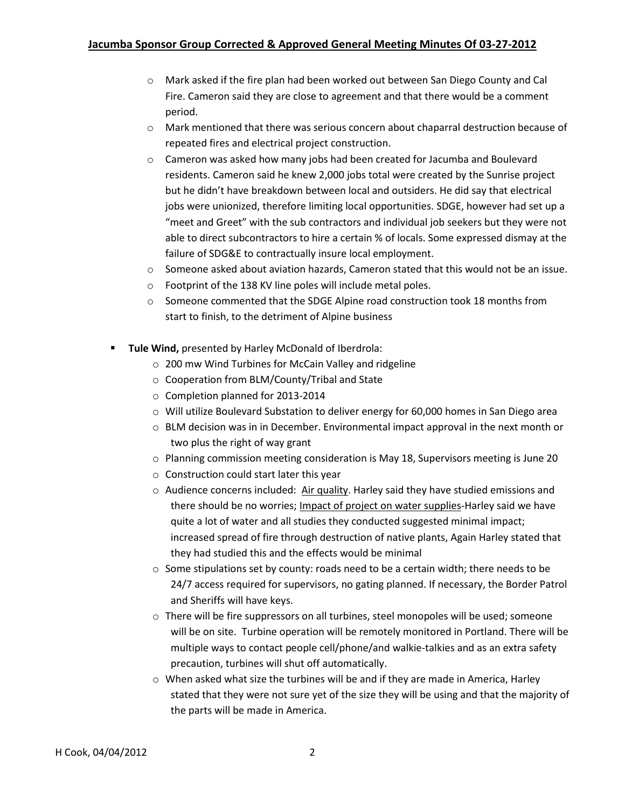- o Mark asked if the fire plan had been worked out between San Diego County and Cal Fire. Cameron said they are close to agreement and that there would be a comment period.
- o Mark mentioned that there was serious concern about chaparral destruction because of repeated fires and electrical project construction.
- o Cameron was asked how many jobs had been created for Jacumba and Boulevard residents. Cameron said he knew 2,000 jobs total were created by the Sunrise project but he didn't have breakdown between local and outsiders. He did say that electrical jobs were unionized, therefore limiting local opportunities. SDGE, however had set up a "meet and Greet" with the sub contractors and individual job seekers but they were not able to direct subcontractors to hire a certain % of locals. Some expressed dismay at the failure of SDG&E to contractually insure local employment.
- o Someone asked about aviation hazards, Cameron stated that this would not be an issue.
- o Footprint of the 138 KV line poles will include metal poles.
- $\circ$  Someone commented that the SDGE Alpine road construction took 18 months from start to finish, to the detriment of Alpine business
- **Tule Wind,** presented by Harley McDonald of Iberdrola:
	- o 200 mw Wind Turbines for McCain Valley and ridgeline
	- o Cooperation from BLM/County/Tribal and State
	- o Completion planned for 2013-2014
	- o Will utilize Boulevard Substation to deliver energy for 60,000 homes in San Diego area
	- $\circ$  BLM decision was in in December. Environmental impact approval in the next month or two plus the right of way grant
	- o Planning commission meeting consideration is May 18, Supervisors meeting is June 20
	- o Construction could start later this year
	- $\circ$  Audience concerns included: Air quality. Harley said they have studied emissions and there should be no worries; Impact of project on water supplies-Harley said we have quite a lot of water and all studies they conducted suggested minimal impact; increased spread of fire through destruction of native plants, Again Harley stated that they had studied this and the effects would be minimal
	- $\circ$  Some stipulations set by county: roads need to be a certain width; there needs to be 24/7 access required for supervisors, no gating planned. If necessary, the Border Patrol and Sheriffs will have keys.
	- o There will be fire suppressors on all turbines, steel monopoles will be used; someone will be on site. Turbine operation will be remotely monitored in Portland. There will be multiple ways to contact people cell/phone/and walkie-talkies and as an extra safety precaution, turbines will shut off automatically.
	- o When asked what size the turbines will be and if they are made in America, Harley stated that they were not sure yet of the size they will be using and that the majority of the parts will be made in America.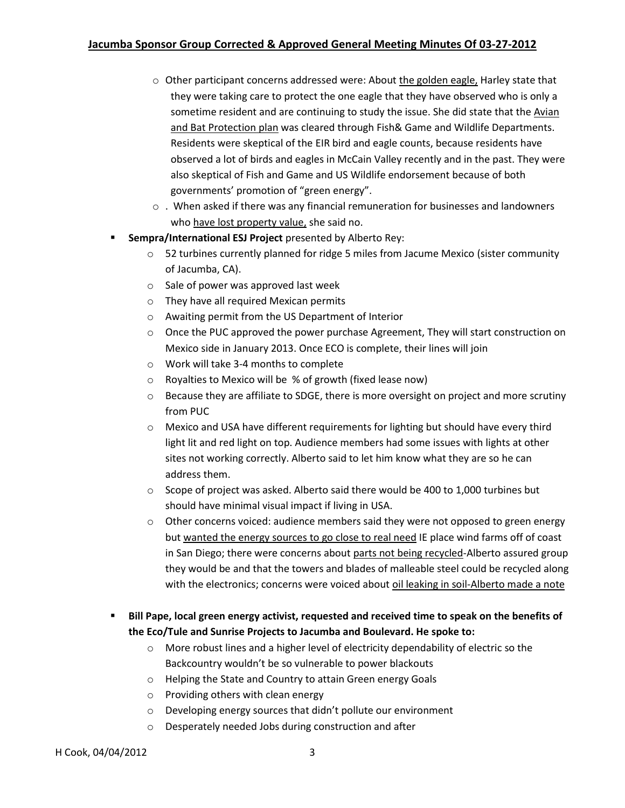#### **Jacumba Sponsor Group Corrected & Approved General Meeting Minutes Of 03-27-2012**

- $\circ$  Other participant concerns addressed were: About the golden eagle, Harley state that they were taking care to protect the one eagle that they have observed who is only a sometime resident and are continuing to study the issue. She did state that the Avian and Bat Protection plan was cleared through Fish& Game and Wildlife Departments. Residents were skeptical of the EIR bird and eagle counts, because residents have observed a lot of birds and eagles in McCain Valley recently and in the past. They were also skeptical of Fish and Game and US Wildlife endorsement because of both governments' promotion of "green energy".
- o . When asked if there was any financial remuneration for businesses and landowners who have lost property value, she said no.
- **Sempra/International ESJ Project** presented by Alberto Rey:
	- $\circ$  52 turbines currently planned for ridge 5 miles from Jacume Mexico (sister community of Jacumba, CA).
	- o Sale of power was approved last week
	- o They have all required Mexican permits
	- o Awaiting permit from the US Department of Interior
	- $\circ$  Once the PUC approved the power purchase Agreement, They will start construction on Mexico side in January 2013. Once ECO is complete, their lines will join
	- o Work will take 3-4 months to complete
	- o Royalties to Mexico will be % of growth (fixed lease now)
	- $\circ$  Because they are affiliate to SDGE, there is more oversight on project and more scrutiny from PUC
	- $\circ$  Mexico and USA have different requirements for lighting but should have every third light lit and red light on top. Audience members had some issues with lights at other sites not working correctly. Alberto said to let him know what they are so he can address them.
	- $\circ$  Scope of project was asked. Alberto said there would be 400 to 1,000 turbines but should have minimal visual impact if living in USA.
	- $\circ$  Other concerns voiced: audience members said they were not opposed to green energy but wanted the energy sources to go close to real need IE place wind farms off of coast in San Diego; there were concerns about parts not being recycled-Alberto assured group they would be and that the towers and blades of malleable steel could be recycled along with the electronics; concerns were voiced about oil leaking in soil-Alberto made a note
- **Bill Pape, local green energy activist, requested and received time to speak on the benefits of the Eco/Tule and Sunrise Projects to Jacumba and Boulevard. He spoke to:**
	- o More robust lines and a higher level of electricity dependability of electric so the Backcountry wouldn't be so vulnerable to power blackouts
	- o Helping the State and Country to attain Green energy Goals
	- o Providing others with clean energy
	- o Developing energy sources that didn't pollute our environment
	- o Desperately needed Jobs during construction and after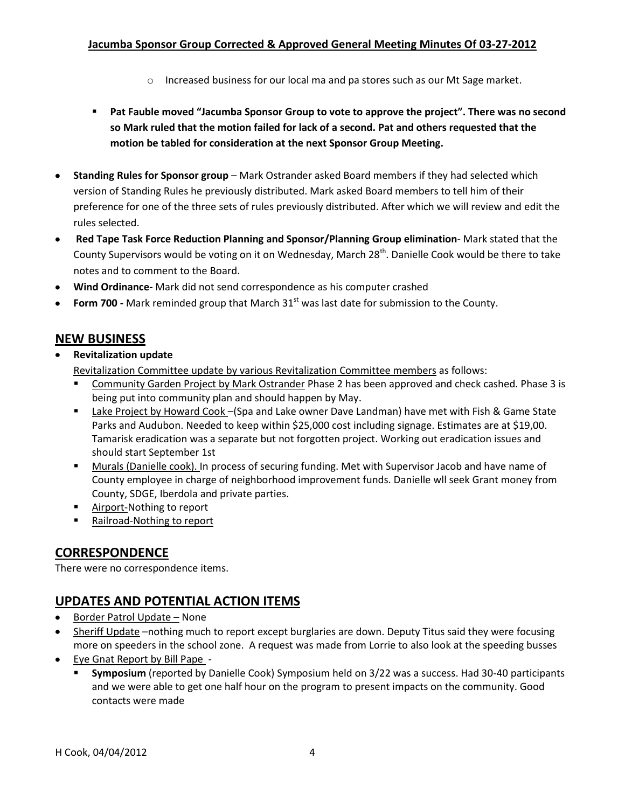### **Jacumba Sponsor Group Corrected & Approved General Meeting Minutes Of 03-27-2012**

- $\circ$  Increased business for our local ma and pa stores such as our Mt Sage market.
- **Pat Fauble moved "Jacumba Sponsor Group to vote to approve the project". There was no second so Mark ruled that the motion failed for lack of a second. Pat and others requested that the motion be tabled for consideration at the next Sponsor Group Meeting.**
- **Standing Rules for Sponsor group** Mark Ostrander asked Board members if they had selected which version of Standing Rules he previously distributed. Mark asked Board members to tell him of their preference for one of the three sets of rules previously distributed. After which we will review and edit the rules selected.
- **Red Tape Task Force Reduction Planning and Sponsor/Planning Group elimination** Mark stated that the County Supervisors would be voting on it on Wednesday, March 28<sup>th</sup>. Danielle Cook would be there to take notes and to comment to the Board.
- **Wind Ordinance-** Mark did not send correspondence as his computer crashed
- Form 700 Mark reminded group that March 31<sup>st</sup> was last date for submission to the County.

# **NEW BUSINESS**

**Revitalization update**

Revitalization Committee update by various Revitalization Committee members as follows:

- Community Garden Project by Mark Ostrander Phase 2 has been approved and check cashed. Phase 3 is being put into community plan and should happen by May.
- Lake Project by Howard Cook (Spa and Lake owner Dave Landman) have met with Fish & Game State Parks and Audubon. Needed to keep within \$25,000 cost including signage. Estimates are at \$19,00. Tamarisk eradication was a separate but not forgotten project. Working out eradication issues and should start September 1st
- **Murals (Danielle cook). In process of securing funding. Met with Supervisor Jacob and have name of** County employee in charge of neighborhood improvement funds. Danielle wll seek Grant money from County, SDGE, Iberdola and private parties.
- **Airport-Nothing to report**
- Railroad-Nothing to report

# **CORRESPONDENCE**

There were no correspondence items.

# **UPDATES AND POTENTIAL ACTION ITEMS**

- Border Patrol Update None
- Sheriff Update –nothing much to report except burglaries are down. Deputy Titus said they were focusing more on speeders in the school zone. A request was made from Lorrie to also look at the speeding busses
- Eye Gnat Report by Bill Pape
	- **Symposium** (reported by Danielle Cook) Symposium held on 3/22 was a success. Had 30-40 participants and we were able to get one half hour on the program to present impacts on the community. Good contacts were made